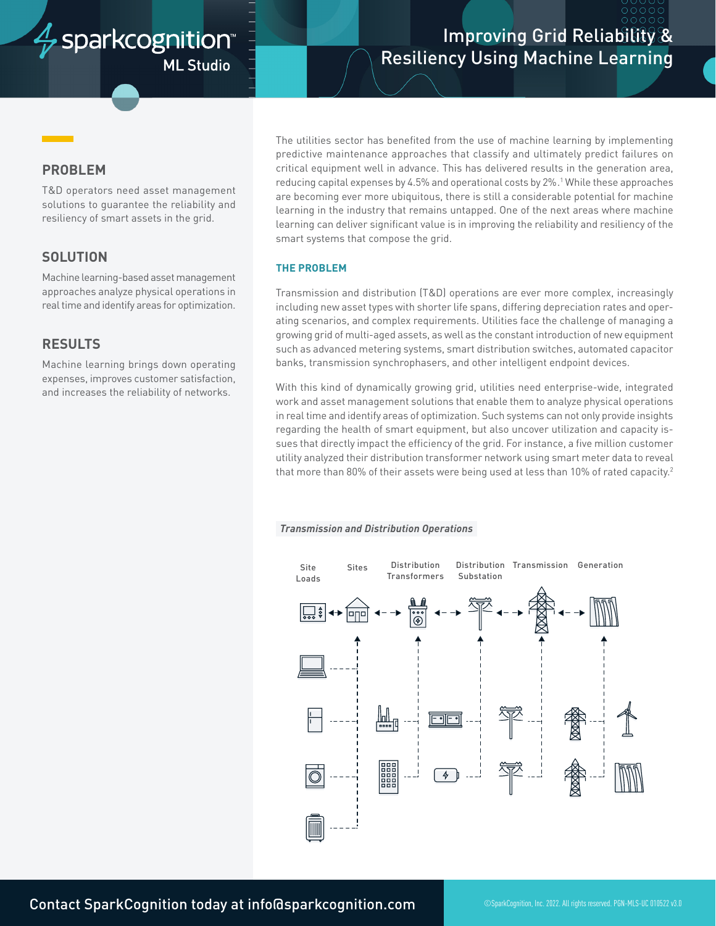# sparkcognition<sup>®</sup> **ML Studio**

# Improving Grid Reliability & Resiliency Using Machine Learning

## **PROBLEM**

T&D operators need asset management solutions to guarantee the reliability and resiliency of smart assets in the grid.

## **SOLUTION**

Machine learning-based asset management approaches analyze physical operations in real time and identify areas for optimization.

## **RESULTS**

Machine learning brings down operating expenses, improves customer satisfaction, and increases the reliability of networks.

The utilities sector has benefited from the use of machine learning by implementing predictive maintenance approaches that classify and ultimately predict failures on critical equipment well in advance. This has delivered results in the generation area, reducing capital expenses by 4.5% and operational costs by 2%. 1 While these approaches are becoming ever more ubiquitous, there is still a considerable potential for machine learning in the industry that remains untapped. One of the next areas where machine learning can deliver significant value is in improving the reliability and resiliency of the smart systems that compose the grid.

### **THE PROBLEM**

Transmission and distribution (T&D) operations are ever more complex, increasingly including new asset types with shorter life spans, differing depreciation rates and operating scenarios, and complex requirements. Utilities face the challenge of managing a growing grid of multi-aged assets, as well as the constant introduction of new equipment such as advanced metering systems, smart distribution switches, automated capacitor banks, transmission synchrophasers, and other intelligent endpoint devices.

With this kind of dynamically growing grid, utilities need enterprise-wide, integrated work and asset management solutions that enable them to analyze physical operations in real time and identify areas of optimization. Such systems can not only provide insights regarding the health of smart equipment, but also uncover utilization and capacity issues that directly impact the efficiency of the grid. For instance, a five million customer utility analyzed their distribution transformer network using smart meter data to reveal that more than 80% of their assets were being used at less than 10% of rated capacity.<sup>2</sup>

#### *Transmission and Distribution Operations*